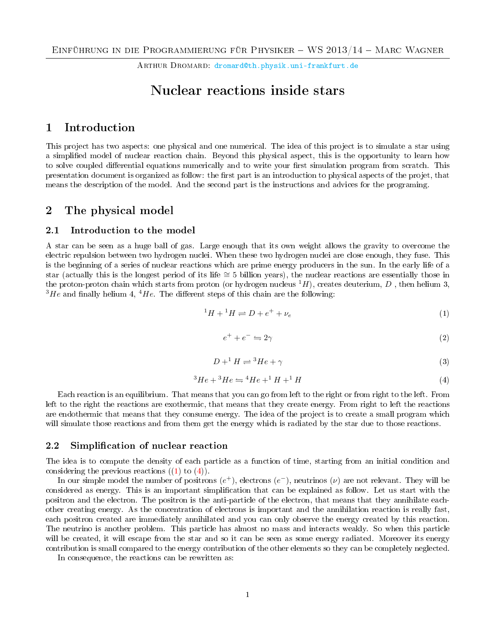ARTHUR DROMARD: [dromard@th.physik.uni-frankfurt.de](mailto:  dromard@th.physik.uni-frankfurt.de)

# Nuclear reactions inside stars

# 1 Introduction

This project has two aspects: one physical and one numerical. The idea of this project is to simulate a star using a simplied model of nuclear reaction chain. Beyond this physical aspect, this is the opportunity to learn how to solve coupled differential equations numerically and to write your first simulation program from scratch. This presentation document is organized as follow: the first part is an introduction to physical aspects of the projet, that means the description of the model. And the second part is the instructions and advices for the programing.

# 2 The physical model

#### 2.1 Introduction to the model

A star can be seen as a huge ball of gas. Large enough that its own weight allows the gravity to overcome the electric repulsion between two hydrogen nuclei. When these two hydrogen nuclei are close enough, they fuse. This is the beginning of a series of nuclear reactions which are prime energy producers in the sun. In the early life of a star (actually this is the longest period of its life ≅ 5 billion years), the nuclear reactions are essentially those in the proton-proton chain which starts from proton (or hydrogen nucleus  $^1H$ ), creates deuterium, D, then helium 3,  $3He$  and finally helium 4,  $4He$ . The different steps of this chain are the following:

<span id="page-0-0"></span>
$$
{}^{1}H + {}^{1}H \rightleftharpoons D + e^{+} + \nu_{e}
$$
 (1)

$$
e^+ + e^- \leftrightharpoons 2\gamma \tag{2}
$$

$$
D + {}^{1}H \rightleftharpoons {}^{3}He + \gamma
$$
\n<sup>(3)</sup>

<span id="page-0-1"></span>
$$
{}^{3}He + {}^{3}He \rightleftharpoons {}^{4}He + {}^{1}H + {}^{1}H
$$
\n(4)

Each reaction is an equilibrium. That means that you can go from left to the right or from right to the left. From left to the right the reactions are exothermic, that means that they create energy. From right to left the reactions are endothermic that means that they consume energy. The idea of the project is to create a small program which will simulate those reactions and from them get the energy which is radiated by the star due to those reactions.

#### 2.2 Simplification of nuclear reaction

The idea is to compute the density of each particle as a function of time, starting from an initial condition and considering the previous reactions  $((1)$  $((1)$  to  $(4))$  $(4))$ .

In our simple model the number of positrons  $(e^+)$ , electrons  $(e^-)$ , neutrinos  $(\nu)$  are not relevant. They will be considered as energy. This is an important simplication that can be explained as follow. Let us start with the positron and the electron. The positron is the anti-particle of the electron, that means that they annihilate eachother creating energy. As the concentration of electrons is important and the annihilation reaction is really fast, each positron created are immediately annihilated and you can only observe the energy created by this reaction. The neutrino is another problem. This particle has almost no mass and interacts weakly. So when this particle will be created, it will escape from the star and so it can be seen as some energy radiated. Moreover its energy contribution is small compared to the energy contribution of the other elements so they can be completely neglected.

In consequence, the reactions can be rewritten as: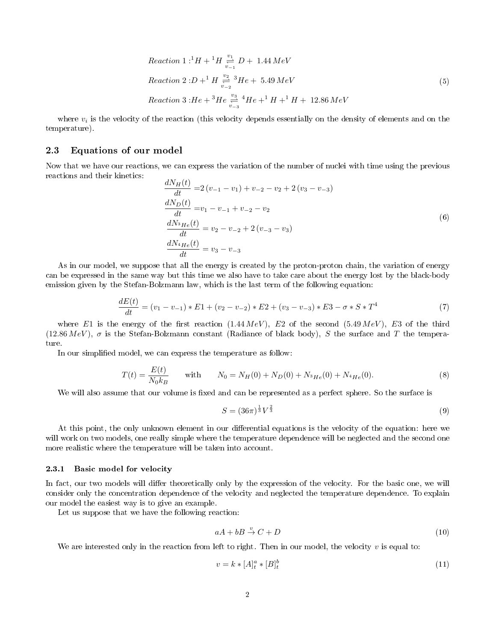$$
Reaction\ 1: {}^{1}H + {}^{1}H \xrightarrow{v_{1}} D + 1.44\ MeV
$$
\n
$$
Reaction\ 2: D + {}^{1}H \xrightarrow{v_{2}} {}^{3}He + 5.49\ MeV
$$
\n
$$
Reaction\ 3: He + {}^{3}He \xrightarrow{v_{3}} {}^{4}He + {}^{1}H + {}^{1}H + 12.86\ MeV
$$
\n
$$
(5)
$$

where  $v_i$  is the velocity of the reaction (this velocity depends essentially on the density of elements and on the temperature).

### 2.3 Equations of our model

Now that we have our reactions, we can express the variation of the number of nuclei with time using the previous reactions and their kinetics:

$$
\frac{dN_H(t)}{dt} = 2(v_{-1} - v_1) + v_{-2} - v_2 + 2(v_3 - v_{-3})
$$
\n
$$
\frac{dN_D(t)}{dt} = v_1 - v_{-1} + v_{-2} - v_2
$$
\n
$$
\frac{dN_{3H_e}(t)}{dt} = v_2 - v_{-2} + 2(v_{-3} - v_3)
$$
\n
$$
\frac{dN_{4H_e}(t)}{dt} = v_3 - v_{-3}
$$
\n(6)

As in our model, we suppose that all the energy is created by the proton-proton chain, the variation of energy can be expressed in the same way but this time we also have to take care about the energy lost by the black-body emission given by the Stefan-Bolzmann law, which is the last term of the following equation:

$$
\frac{dE(t)}{dt} = (v_1 - v_{-1}) * E1 + (v_2 - v_{-2}) * E2 + (v_3 - v_{-3}) * E3 - \sigma * S * T^4
$$
\n(7)

where E1 is the energy of the first reaction (1.44 MeV), E2 of the second (5.49 MeV), E3 of the third  $(12.86 \, MeV)$ ,  $\sigma$  is the Stefan-Bolzmann constant (Radiance of black body), S the surface and T the temperature.

In our simplified model, we can express the temperature as follow:

<span id="page-1-0"></span>
$$
T(t) = \frac{E(t)}{N_0 k_B} \quad \text{with} \quad N_0 = N_H(0) + N_D(0) + N_{^3He}(0) + N_{^4He}(0). \tag{8}
$$

We will also assume that our volume is fixed and can be represented as a perfect sphere. So the surface is

$$
S = (36\pi)^{\frac{1}{3}}V^{\frac{2}{3}}\tag{9}
$$

At this point, the only unknown element in our differential equations is the velocity of the equation: here we will work on two models, one really simple where the temperature dependence will be neglected and the second one more realistic where the temperature will be taken into account.

#### 2.3.1 Basic model for velocity

In fact, our two models will differ theoretically only by the expression of the velocity. For the basic one, we will consider only the concentration dependence of the velocity and neglected the temperature dependence. To explain our model the easiest way is to give an example.

Let us suppose that we have the following reaction:

$$
aA + bB \stackrel{v}{\rightarrow} C + D \tag{10}
$$

We are interested only in the reaction from left to right. Then in our model, the velocity  $v$  is equal to:

$$
v = k * [A]_t^a * [B]_t^b \tag{11}
$$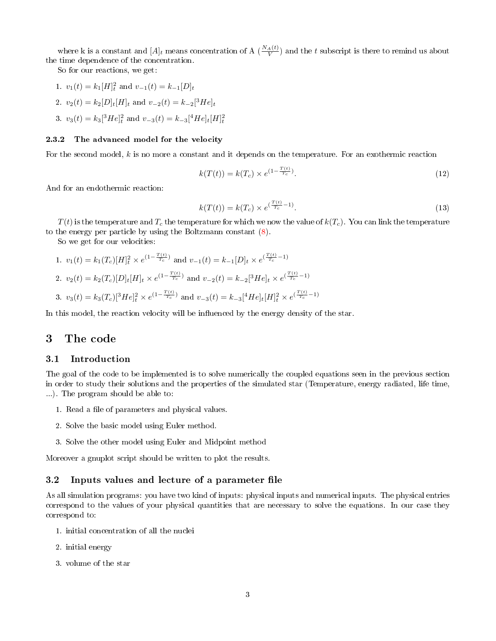where k is a constant and  $[A]_t$  means concentration of A  $(\frac{N_A(t)}{V})$  and the t subscript is there to remind us about the time dependence of the concentration.

So for our reactions, we get:

- 1.  $v_1(t) = k_1[H]_t^2$  and  $v_{-1}(t) = k_{-1}[D]_t$
- 2.  $v_2(t) = k_2[D]_t[H]_t$  and  $v_{-2}(t) = k_{-2}[{}^3He]_t$
- 3.  $v_3(t) = k_3[^3He]^2_t$  and  $v_{-3}(t) = k_{-3}[^4He]_t[H]^2_t$

#### 2.3.2 The advanced model for the velocity

For the second model, k is no more a constant and it depends on the temperature. For an exothermic reaction

$$
k(T(t)) = k(T_c) \times e^{(1 - \frac{T(t)}{T_c})}.
$$
\n(12)

And for an endothermic reaction:

$$
k(T(t)) = k(T_c) \times e^{(\frac{T(t)}{T_c} - 1)}.
$$
\n(13)

 $T(t)$  is the temperature and  $T_c$  the temperature for which we now the value of  $k(T_c)$ . You can link the temperature to the energy per particle by using the Boltzmann constant [\(8\)](#page-1-0).

So we get for our velocities:

1.  $v_1(t) = k_1(T_c)[H]_t^2 \times e^{(1 - \frac{T(t)}{T_c})}$  and  $v_{-1}(t) = k_{-1}[D]_t \times e^{(\frac{T(t)}{T_c} - 1)}$ 2.  $v_2(t) = k_2(T_c)[D]_t[H]_t \times e^{(1 - \frac{T(t)}{T_c})}$  and  $v_{-2}(t) = k_{-2}[{}^3He]_t \times e^{(\frac{T(t)}{T_c}-1)}$ 3.  $v_3(t) = k_3(T_c)[{}^3He]_t^2 \times e^{(1-\frac{T(t)}{T_c})}$  and  $v_{-3}(t) = k_{-3}[{}^4He]_t[H]_t^2 \times e^{(\frac{T(t)}{T_c}-1)}$ 

In this model, the reaction velocity will be influenced by the energy density of the star.

# 3 The code

#### 3.1 Introduction

The goal of the code to be implemented is to solve numerically the coupled equations seen in the previous section in order to study their solutions and the properties of the simulated star (Temperature, energy radiated, life time, ...). The program should be able to:

- 1. Read a file of parameters and physical values.
- 2. Solve the basic model using Euler method.
- 3. Solve the other model using Euler and Midpoint method

Moreover a gnuplot script should be written to plot the results.

### 3.2 Inputs values and lecture of a parameter file

As all simulation programs: you have two kind of inputs: physical inputs and numerical inputs. The physical entries correspond to the values of your physical quantities that are necessary to solve the equations. In our case they correspond to:

- 1. initial concentration of all the nuclei
- 2. initial energy
- 3. volume of the star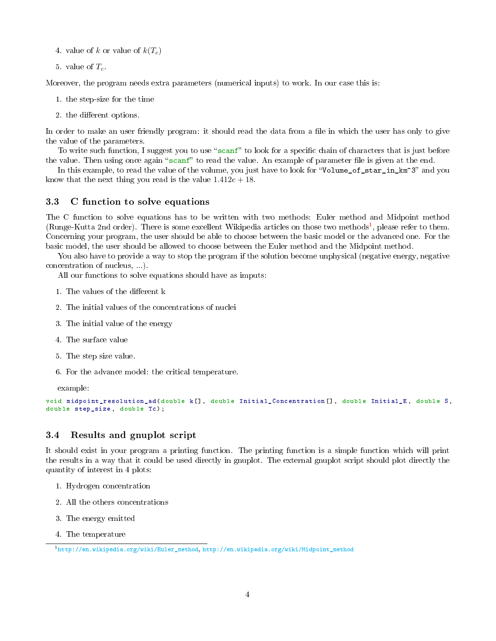- 4. value of k or value of  $k(T_c)$
- 5. value of  $T_c$ .

Moreover, the program needs extra parameters (numerical inputs) to work. In our case this is:

- 1. the step-size for the time
- 2. the different options.

In order to make an user friendly program: it should read the data from a file in which the user has only to give the value of the parameters.

To write such function, I suggest you to use "scanf" to look for a specific chain of characters that is just before the value. Then using once again "scanf" to read the value. An example of parameter file is given at the end.

In this example, to read the value of the volume, you just have to look for "Volume\_of\_star\_in\_km^3" and you know that the next thing you read is the value  $1.412e + 18$ .

### 3.3 C function to solve equations

The C function to solve equations has to be written with two methods: Euler method and Midpoint method (Runge-Kutta 2nd order). There is some excellent Wikipedia articles on those two methods<sup>[1](#page-3-0)</sup>, please refer to them. Concerning your program, the user should be able to choose between the basic model or the advanced one. For the basic model, the user should be allowed to choose between the Euler method and the Midpoint method.

You also have to provide a way to stop the program if the solution become unphysical (negative energy, negative concentration of nucleus, ...).

All our functions to solve equations should have as imputs:

- 1. The values of the different k
- 2. The initial values of the concentrations of nuclei
- 3. The initial value of the energy
- 4. The surface value
- 5. The step size value.
- 6. For the advance model: the critical temperature.

example:

```
void midpoint_resolution_ad ( double k[] , double Initial_Concentration [] , double Initial_E , double S,
double step_size, double Tc);
```
### 3.4 Results and gnuplot script

It should exist in your program a printing function. The printing function is a simple function which will print the results in a way that it could be used directly in gnuplot. The external gnuplot script should plot directly the quantity of interest in 4 plots:

- 1. Hydrogen concentration
- 2. All the others concentrations
- 3. The energy emitted
- 4. The temperature

<span id="page-3-0"></span><sup>1</sup>[http://en.wikipedia.org/wiki/Euler\\_method,](http://en.wikipedia.org/wiki/Euler_method) [http://en.wikipedia.org/wiki/Midpoint\\_method](http://en.wikipedia.org/wiki/Midpoint_method)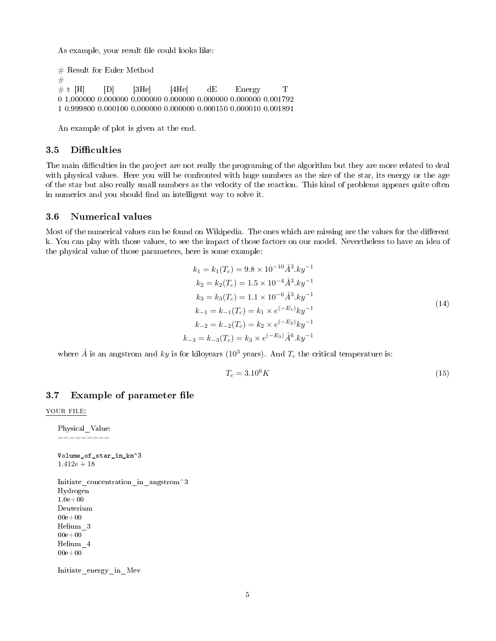As example, your result file could looks like:

```
\# Result for Euler Method
#
# t [H] [D] [3He] [4He] dE Energy T
0 1.000000 0.000000 0.000000 0.000000 0.000000 0.000000 0.001792
1 0.999800 0.000100 0.000000 0.000000 0.000150 0.000010 0.001891
```
An example of plot is given at the end.

## 3.5 Difficulties

The main difficulties in the project are not really the programing of the algorithm but they are more related to deal with physical values. Here you will be confronted with huge numbers as the size of the star, its energy or the age of the star but also really small numbers as the velocity of the reaction. This kind of problems appears quite often in numerics and you should find an intelligent way to solve it.

#### 3.6 Numerical values

Most of the numerical values can be found on Wikipedia. The ones which are missing are the values for the different k. You can play with those values, to see the impact of those factors on our model. Nevertheless to have an idea of the physical value of those parameters, here is some example:

$$
k_1 = k_1(T_c) = 9.8 \times 10^{-10} \AA^3.ky^{-1}
$$
  
\n
$$
k_2 = k_2(T_c) = 1.5 \times 10^{-4} \AA^3.ky^{-1}
$$
  
\n
$$
k_3 = k_3(T_c) = 1.1 \times 10^{-6} \AA^3.ky^{-1}
$$
  
\n
$$
k_{-1} = k_{-1}(T_c) = k_1 \times e^{(-E_1)}ky^{-1}
$$
  
\n
$$
k_{-2} = k_{-2}(T_c) = k_2 \times e^{(-E_2)}ky^{-1}
$$
  
\n
$$
k_{-3} = k_{-3}(T_c) = k_3 \times e^{(-E_3)} \AA^6.ky^{-1}
$$
  
\n(14)

where  $\AA$  is an angstrom and ky is for kiloyears (10<sup>3</sup> years). And  $T_c$  the critical temperature is:

$$
T_c = 3.10^6 K \tag{15}
$$

#### 3.7 Example of parameter file

YOUR FILE:

```
Physical_Value:
=========
```
Volume\_of\_star\_in\_km^3  $1.412e + 18$ 

```
Initiate concentration in angstrom<sup>3</sup>
Hydrogen
1.0e + 00Deuterium
00e+00Helium_3
00e+00Helium_4
00e+00
```
Initiate\_energy\_in\_Mev